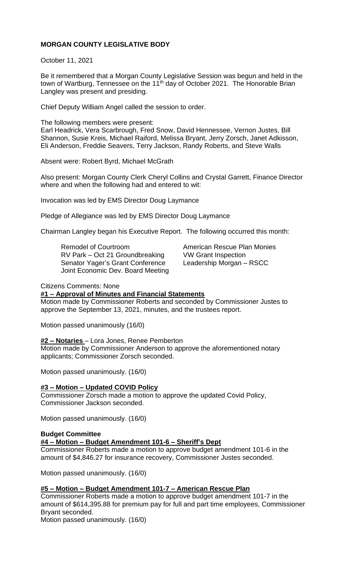# **MORGAN COUNTY LEGISLATIVE BODY**

October 11, 2021

Be it remembered that a Morgan County Legislative Session was begun and held in the town of Wartburg, Tennessee on the 11<sup>th</sup> day of October 2021. The Honorable Brian Langley was present and presiding.

Chief Deputy William Angel called the session to order.

The following members were present: Earl Headrick, Vera Scarbrough, Fred Snow, David Hennessee, Vernon Justes, Bill Shannon, Susie Kreis, Michael Raiford, Melissa Bryant, Jerry Zorsch, Janet Adkisson, Eli Anderson, Freddie Seavers, Terry Jackson, Randy Roberts, and Steve Walls

Absent were: Robert Byrd, Michael McGrath

Also present: Morgan County Clerk Cheryl Collins and Crystal Garrett, Finance Director where and when the following had and entered to wit:

Invocation was led by EMS Director Doug Laymance

Pledge of Allegiance was led by EMS Director Doug Laymance

Chairman Langley began his Executive Report. The following occurred this month:

Remodel of Courtroom **American Rescue Plan Monies** RV Park – Oct 21 Groundbreaking VW Grant Inspection Senator Yager's Grant Conference Leadership Morgan – RSCC Joint Economic Dev. Board Meeting

### Citizens Comments: None

### **#1 – Approval of Minutes and Financial Statements**

Motion made by Commissioner Roberts and seconded by Commissioner Justes to approve the September 13, 2021, minutes, and the trustees report.

Motion passed unanimously (16/0)

### **#2 – Notaries** – Lora Jones, Renee Pemberton

Motion made by Commissioner Anderson to approve the aforementioned notary applicants; Commissioner Zorsch seconded.

Motion passed unanimously. (16/0)

### **#3 – Motion – Updated COVID Policy**

Commissioner Zorsch made a motion to approve the updated Covid Policy, Commissioner Jackson seconded.

Motion passed unanimously. (16/0)

#### **Budget Committee #4 – Motion – Budget Amendment 101-6 – Sheriff's Dept**

Commissioner Roberts made a motion to approve budget amendment 101-6 in the amount of \$4,846.27 for insurance recovery, Commissioner Justes seconded.

Motion passed unanimously. (16/0)

# **#5 – Motion – Budget Amendment 101-7 – American Rescue Plan**

Commissioner Roberts made a motion to approve budget amendment 101-7 in the amount of \$614,395.88 for premium pay for full and part time employees, Commissioner Bryant seconded.

Motion passed unanimously. (16/0)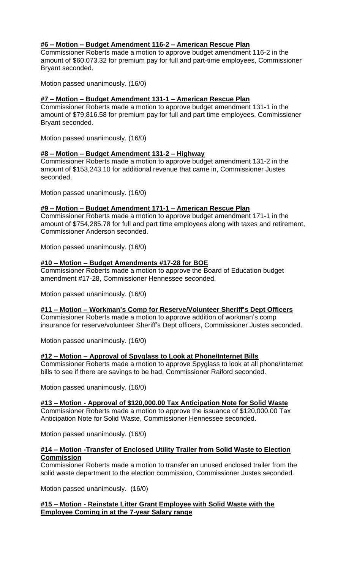# **#6 – Motion – Budget Amendment 116-2 – American Rescue Plan**

Commissioner Roberts made a motion to approve budget amendment 116-2 in the amount of \$60,073.32 for premium pay for full and part-time employees, Commissioner Bryant seconded.

Motion passed unanimously. (16/0)

# **#7 – Motion – Budget Amendment 131-1 – American Rescue Plan**

Commissioner Roberts made a motion to approve budget amendment 131-1 in the amount of \$79,816.58 for premium pay for full and part time employees, Commissioner Bryant seconded.

Motion passed unanimously. (16/0)

### **#8 – Motion – Budget Amendment 131-2 – Highway**

Commissioner Roberts made a motion to approve budget amendment 131-2 in the amount of \$153,243.10 for additional revenue that came in, Commissioner Justes seconded.

Motion passed unanimously. (16/0)

# **#9 – Motion – Budget Amendment 171-1 – American Rescue Plan**

Commissioner Roberts made a motion to approve budget amendment 171-1 in the amount of \$754,285.78 for full and part time employees along with taxes and retirement, Commissioner Anderson seconded.

Motion passed unanimously. (16/0)

# **#10 – Motion – Budget Amendments #17-28 for BOE**

Commissioner Roberts made a motion to approve the Board of Education budget amendment #17-28, Commissioner Hennessee seconded.

Motion passed unanimously. (16/0)

### **#11 – Motion – Workman's Comp for Reserve/Volunteer Sheriff's Dept Officers**

Commissioner Roberts made a motion to approve addition of workman's comp insurance for reserve/volunteer Sheriff's Dept officers, Commissioner Justes seconded.

Motion passed unanimously. (16/0)

# **#12 – Motion – Approval of Spyglass to Look at Phone/Internet Bills**

Commissioner Roberts made a motion to approve Spyglass to look at all phone/internet bills to see if there are savings to be had, Commissioner Raiford seconded.

Motion passed unanimously. (16/0)

### **#13 – Motion - Approval of \$120,000.00 Tax Anticipation Note for Solid Waste**

Commissioner Roberts made a motion to approve the issuance of \$120,000.00 Tax Anticipation Note for Solid Waste, Commissioner Hennessee seconded.

Motion passed unanimously. (16/0)

# **#14 – Motion -Transfer of Enclosed Utility Trailer from Solid Waste to Election Commission**

Commissioner Roberts made a motion to transfer an unused enclosed trailer from the solid waste department to the election commission, Commissioner Justes seconded.

Motion passed unanimously. (16/0)

# **#15 – Motion - Reinstate Litter Grant Employee with Solid Waste with the Employee Coming in at the 7-year Salary range**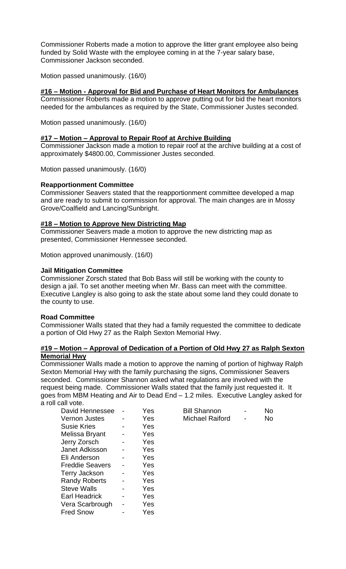Commissioner Roberts made a motion to approve the litter grant employee also being funded by Solid Waste with the employee coming in at the 7-year salary base, Commissioner Jackson seconded.

Motion passed unanimously. (16/0)

# **#16 – Motion - Approval for Bid and Purchase of Heart Monitors for Ambulances**

Commissioner Roberts made a motion to approve putting out for bid the heart monitors needed for the ambulances as required by the State, Commissioner Justes seconded.

Motion passed unanimously. (16/0)

### **#17 – Motion – Approval to Repair Roof at Archive Building**

Commissioner Jackson made a motion to repair roof at the archive building at a cost of approximately \$4800.00, Commissioner Justes seconded.

Motion passed unanimously. (16/0)

#### **Reapportionment Committee**

Commissioner Seavers stated that the reapportionment committee developed a map and are ready to submit to commission for approval. The main changes are in Mossy Grove/Coalfield and Lancing/Sunbright.

### **#18 – Motion to Approve New Districting Map**

Commissioner Seavers made a motion to approve the new districting map as presented, Commissioner Hennessee seconded.

Motion approved unanimously. (16/0)

#### **Jail Mitigation Committee**

Commissioner Zorsch stated that Bob Bass will still be working with the county to design a jail. To set another meeting when Mr. Bass can meet with the committee. Executive Langley is also going to ask the state about some land they could donate to the county to use.

#### **Road Committee**

Commissioner Walls stated that they had a family requested the committee to dedicate a portion of Old Hwy 27 as the Ralph Sexton Memorial Hwy.

### **#19 – Motion – Approval of Dedication of a Portion of Old Hwy 27 as Ralph Sexton Memorial Hwy**

Commissioner Walls made a motion to approve the naming of portion of highway Ralph Sexton Memorial Hwy with the family purchasing the signs, Commissioner Seavers seconded. Commissioner Shannon asked what regulations are involved with the request being made. Commissioner Walls stated that the family just requested it. It goes from MBM Heating and Air to Dead End – 1.2 miles. Executive Langley asked for a roll call vote.

| Yes | <b>Bill Shannon</b>    | No |
|-----|------------------------|----|
| Yes | <b>Michael Raiford</b> | No |
| Yes |                        |    |
| Yes |                        |    |
| Yes |                        |    |
| Yes |                        |    |
| Yes |                        |    |
| Yes |                        |    |
| Yes |                        |    |
| Yes |                        |    |
| Yes |                        |    |
| Yes |                        |    |
| Yes |                        |    |
| Yes |                        |    |
|     |                        |    |

| <b>Bill Shannon</b>    |   | No |
|------------------------|---|----|
| <b>Michael Raiford</b> | - | No |